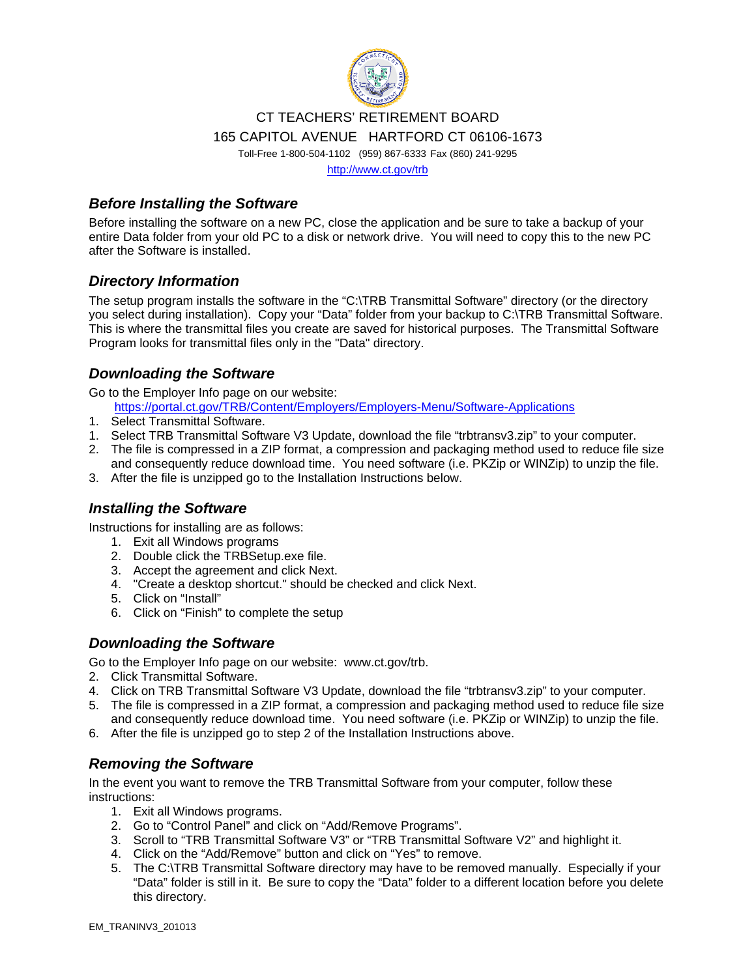

# CT TEACHERS' RETIREMENT BOARD

165 CAPITOL AVENUE HARTFORD CT 06106-1673

Toll-Free 1-800-504-1102 (959) 867-6333 Fax (860) 241-9295

http://www.ct.gov/trb

## *Before Installing the Software*

Before installing the software on a new PC, close the application and be sure to take a backup of your entire Data folder from your old PC to a disk or network drive. You will need to copy this to the new PC after the Software is installed.

# *Directory Information*

The setup program installs the software in the "C:\TRB Transmittal Software" directory (or the directory you select during installation). Copy your "Data" folder from your backup to C:\TRB Transmittal Software. This is where the transmittal files you create are saved for historical purposes. The Transmittal Software Program looks for transmittal files only in the "Data" directory.

# *Downloading the Software*

Go to the Employer Info page on our website:

https://portal.ct.gov/TRB/Content/Employers/Employers-Menu/Software-Applications

- 1. Select Transmittal Software.
- 1. Select TRB Transmittal Software V3 Update, download the file "trbtransv3.zip" to your computer.
- 2. The file is compressed in a ZIP format, a compression and packaging method used to reduce file size and consequently reduce download time. You need software (i.e. PKZip or WINZip) to unzip the file.
- 3. After the file is unzipped go to the Installation Instructions below.

#### *Installing the Software*

Instructions for installing are as follows:

- 1. Exit all Windows programs
- 2. Double click the TRBSetup.exe file.
- 3. Accept the agreement and click Next.
- 4. "Create a desktop shortcut." should be checked and click Next.
- 5. Click on "Install"
- 6. Click on "Finish" to complete the setup

## *Downloading the Software*

Go to the Employer Info page on our website: www.ct.gov/trb.

- 2. Click Transmittal Software.
- 4. Click on TRB Transmittal Software V3 Update, download the file "trbtransv3.zip" to your computer.
- 5. The file is compressed in a ZIP format, a compression and packaging method used to reduce file size and consequently reduce download time. You need software (i.e. PKZip or WINZip) to unzip the file.
- 6. After the file is unzipped go to step 2 of the Installation Instructions above.

## *Removing the Software*

In the event you want to remove the TRB Transmittal Software from your computer, follow these instructions:

- 1. Exit all Windows programs.
- 2. Go to "Control Panel" and click on "Add/Remove Programs".
- 3. Scroll to "TRB Transmittal Software V3" or "TRB Transmittal Software V2" and highlight it.
- 4. Click on the "Add/Remove" button and click on "Yes" to remove.
- 5. The C:\TRB Transmittal Software directory may have to be removed manually. Especially if your "Data" folder is still in it. Be sure to copy the "Data" folder to a different location before you delete this directory.